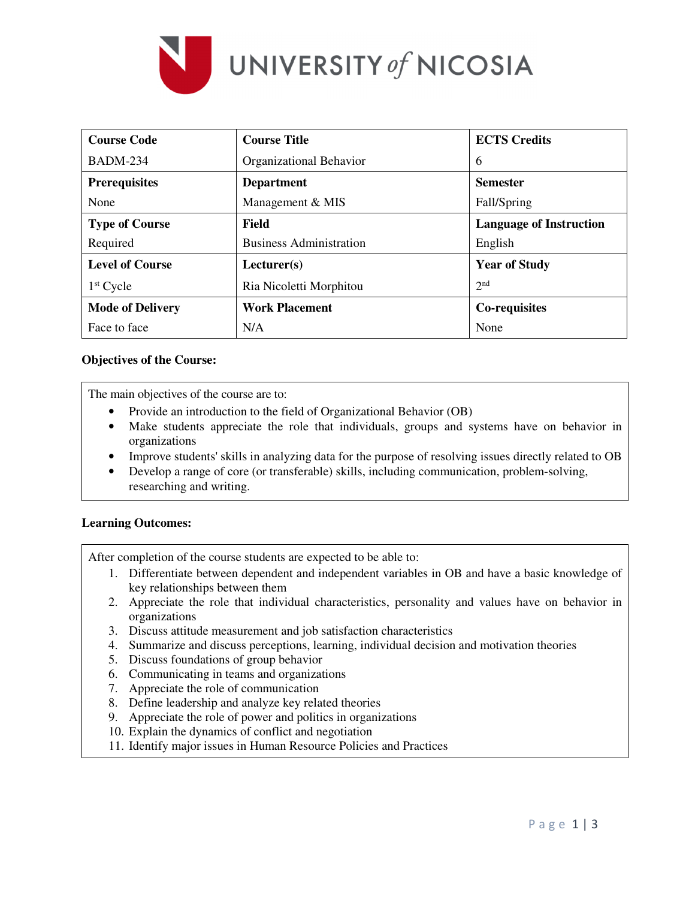

| <b>Course Code</b>      | <b>Course Title</b>            | <b>ECTS</b> Credits            |
|-------------------------|--------------------------------|--------------------------------|
| <b>BADM-234</b>         | Organizational Behavior        | 6                              |
| <b>Prerequisites</b>    | <b>Department</b>              | <b>Semester</b>                |
| None                    | Management & MIS               | Fall/Spring                    |
| <b>Type of Course</b>   | Field                          | <b>Language of Instruction</b> |
| Required                | <b>Business Administration</b> | English                        |
| <b>Level of Course</b>  | Lecturer(s)                    | <b>Year of Study</b>           |
| $1st$ Cycle             | Ria Nicoletti Morphitou        | 2 <sup>nd</sup>                |
| <b>Mode of Delivery</b> | <b>Work Placement</b>          | Co-requisites                  |
| Face to face            | N/A                            | None                           |

## **Objectives of the Course:**

The main objectives of the course are to:

- Provide an introduction to the field of Organizational Behavior (OB)
- Make students appreciate the role that individuals, groups and systems have on behavior in organizations
- Improve students' skills in analyzing data for the purpose of resolving issues directly related to OB
- Develop a range of core (or transferable) skills, including communication, problem-solving, researching and writing.

## **Learning Outcomes:**

After completion of the course students are expected to be able to:

- 1. Differentiate between dependent and independent variables in OB and have a basic knowledge of key relationships between them
- 2. Appreciate the role that individual characteristics, personality and values have on behavior in organizations
- 3. Discuss attitude measurement and job satisfaction characteristics
- 4. Summarize and discuss perceptions, learning, individual decision and motivation theories
- 5. Discuss foundations of group behavior
- 6. Communicating in teams and organizations
- 7. Appreciate the role of communication
- 8. Define leadership and analyze key related theories
- 9. Appreciate the role of power and politics in organizations
- 10. Explain the dynamics of conflict and negotiation
- 11. Identify major issues in Human Resource Policies and Practices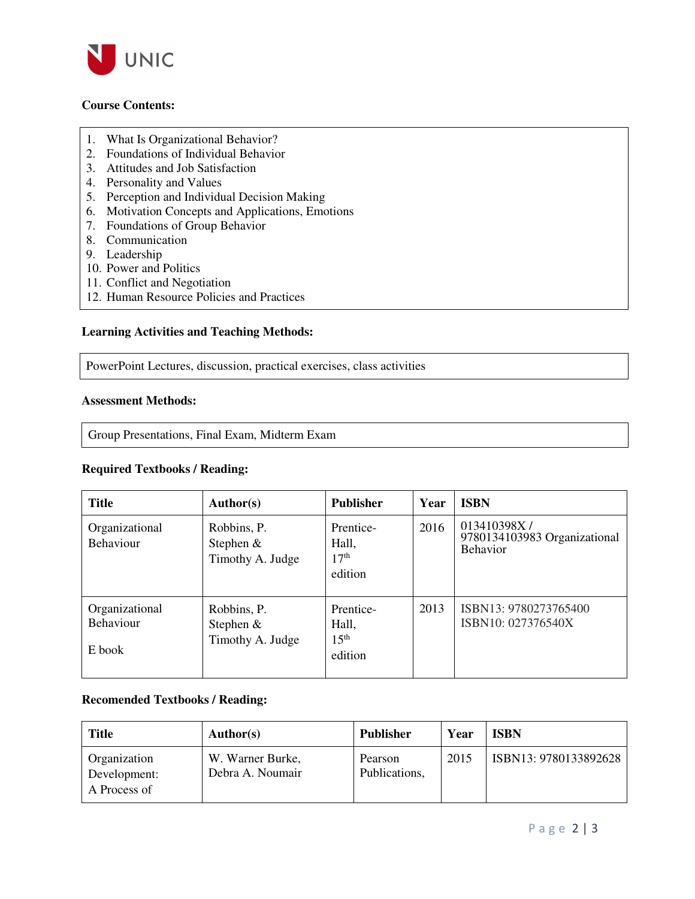

# **Course Contents:**

- 1. What Is Organizational Behavior?
- 2. Foundations of Individual Behavior
- 3. Attitudes and Job Satisfaction
- 4. Personality and Values
- 5. Perception and Individual Decision Making
- 6. Motivation Concepts and Applications, Emotions
- 7. Foundations of Group Behavior
- 8. Communication
- 9. Leadership
- 10. Power and Politics
- 11. Conflict and Negotiation
- 12. Human Resource Policies and Practices

# **Learning Activities and Teaching Methods:**

PowerPoint Lectures, discussion, practical exercises, class activities

### **Assessment Methods:**

Group Presentations, Final Exam, Midterm Exam

### **Required Textbooks / Reading:**

| <b>Title</b>                                 | <b>Author(s)</b>                               | <b>Publisher</b>                                  | Year | <b>ISBN</b>                                                    |
|----------------------------------------------|------------------------------------------------|---------------------------------------------------|------|----------------------------------------------------------------|
| Organizational<br><b>Behaviour</b>           | Robbins, P.<br>Stephen &<br>Timothy A. Judge   | Prentice-<br>Hall,<br>17 <sup>th</sup><br>edition | 2016 | 013410398X/<br>9780134103983 Organizational<br><b>Behavior</b> |
| Organizational<br><b>Behaviour</b><br>E book | Robbins, P.<br>Stephen $&$<br>Timothy A. Judge | Prentice-<br>Hall,<br>15 <sup>th</sup><br>edition | 2013 | ISBN13: 9780273765400<br>ISBN10: 027376540X                    |

# **Recomended Textbooks / Reading:**

| <b>Title</b>                                        | Author(s)                            | <b>Publisher</b>         | Year | <b>ISBN</b>           |
|-----------------------------------------------------|--------------------------------------|--------------------------|------|-----------------------|
| <b>Organization</b><br>Development:<br>A Process of | W. Warner Burke,<br>Debra A. Noumair | Pearson<br>Publications, | 2015 | ISBN13: 9780133892628 |